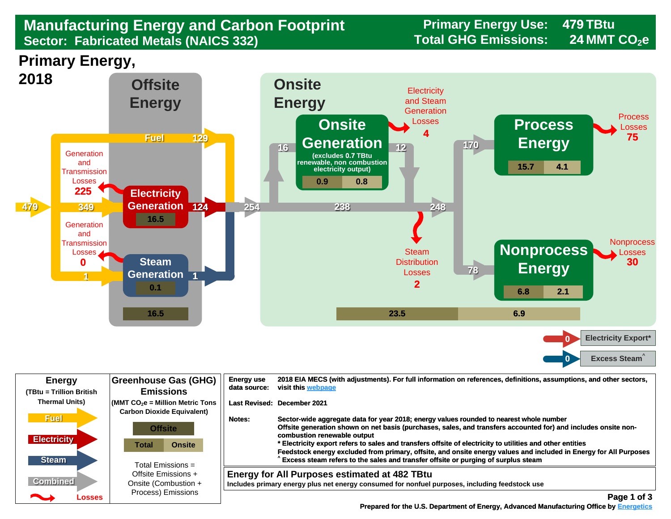## **Manufacturing Energy and Carbon Footprint Frimary Energy Use:**<br>Sector: Fabricated Metals (NAICS 332) Total GHG Emissions: **Sector: Fabricated Metals (NAICS 332)**

**479 24**

**Primary Energy,** 



| <b>Energy</b><br>(TBtu = Trillion British         | <b>Greenhouse Gas (GHG)</b><br><b>Emissions</b>                                                          | <b>Energy use</b><br>2018 EIA MECS (with adjustments). For full information on references, definitions, assumptions, and other sectors,<br>visit this webpage<br>data source:                                                                                                                                                                                                                                                                                                                                                                                             |  |
|---------------------------------------------------|----------------------------------------------------------------------------------------------------------|---------------------------------------------------------------------------------------------------------------------------------------------------------------------------------------------------------------------------------------------------------------------------------------------------------------------------------------------------------------------------------------------------------------------------------------------------------------------------------------------------------------------------------------------------------------------------|--|
| <b>Thermal Units)</b>                             | $\sqrt{\frac{1}{100}}$ (MMT CO <sub>2</sub> e = Million Metric Tons<br><b>Carbon Dioxide Equivalent)</b> | Last Revised: December 2021                                                                                                                                                                                                                                                                                                                                                                                                                                                                                                                                               |  |
| <b>Fuel</b><br><b>Electricity</b><br><b>Steam</b> | <b>Offsite</b><br>Total<br><b>Onsite</b><br>Total Emissions $=$                                          | Sector-wide aggregate data for year 2018; energy values rounded to nearest whole number<br>Notes:<br>Offsite generation shown on net basis (purchases, sales, and transfers accounted for) and includes onsite non-<br>combustion renewable output<br>* Electricity export refers to sales and transfers offsite of electricity to utilities and other entities<br>Feedstock energy excluded from primary, offsite, and onsite energy values and included in Energy for All Purposes<br>Excess steam refers to the sales and transfer offsite or purging of surplus steam |  |
| <b>Combined</b>                                   | Offsite Emissions +<br>Onsite (Combustion +                                                              | <b>Energy for All Purposes estimated at 482 TBtu</b><br>Includes primary energy plus net energy consumed for nonfuel purposes, including feedstock use                                                                                                                                                                                                                                                                                                                                                                                                                    |  |
| Losses                                            | Process) Emissions                                                                                       | Page 1 of 3                                                                                                                                                                                                                                                                                                                                                                                                                                                                                                                                                               |  |

 **[Prepared for the U.S. Department of Energy, Advanced Manufacturing Office by Energetics](https://www.energetics.com/) Manufacturing Energetics**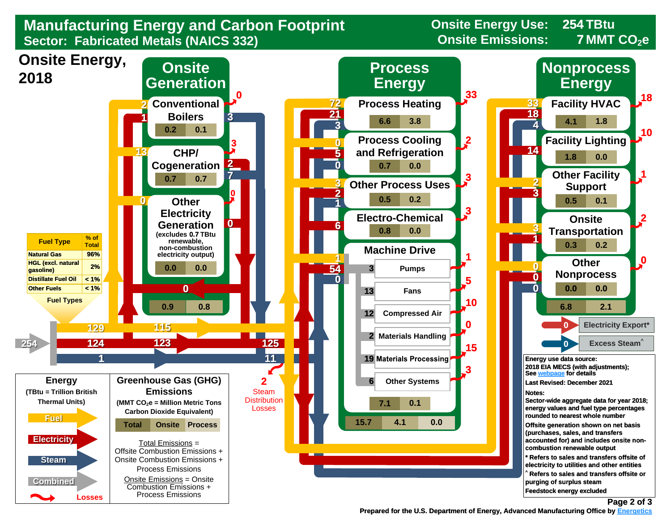